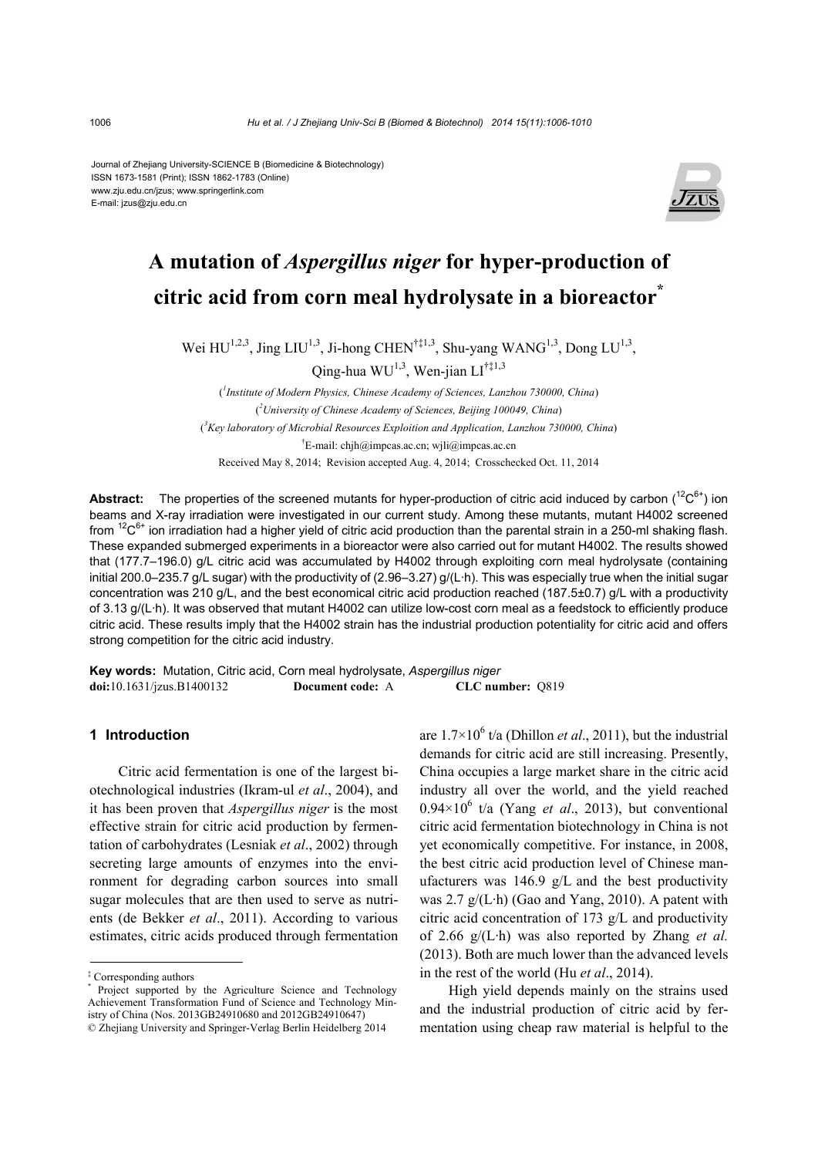Journal of Zhejiang University-SCIENCE B (Biomedicine & Biotechnology) ISSN 1673-1581 (Print); ISSN 1862-1783 (Online) www.zju.edu.cn/jzus; www.springerlink.com E-mail: jzus@zju.edu.cn



## **A mutation of** *Aspergillus niger* **for hyper-production of citric acid from corn meal hydrolysate in a bioreactor\***

Wei  $HU^{1,2,3}$ , Jing LIU<sup>1,3</sup>, Ji-hong CHEN<sup>†‡1,3</sup>, Shu-yang WANG<sup>1,3</sup>, Dong LU<sup>1,3</sup>,

Qing-hua WU<sup>1,3</sup>, Wen-jian LI<sup>†‡1,3</sup>

( *1 Institute of Modern Physics, Chinese Academy of Sciences, Lanzhou 730000, China*) ( *2 University of Chinese Academy of Sciences, Beijing 100049, China*) ( *3 Key laboratory of Microbial Resources Exploition and Application, Lanzhou 730000, China*) † E-mail: chjh@impcas.ac.cn; wjli@impcas.ac.cn Received May 8, 2014; Revision accepted Aug. 4, 2014; Crosschecked Oct. 11, 2014

**Abstract:** The properties of the screened mutants for hyper-production of citric acid induced by carbon  $(^{12}C^{6+})$  ion beams and X-ray irradiation were investigated in our current study. Among these mutants, mutant H4002 screened from  ${}^{12}C^{6+}$  ion irradiation had a higher yield of citric acid production than the parental strain in a 250-ml shaking flash. These expanded submerged experiments in a bioreactor were also carried out for mutant H4002. The results showed that (177.7–196.0) g/L citric acid was accumulated by H4002 through exploiting corn meal hydrolysate (containing initial 200.0–235.7 g/L sugar) with the productivity of (2.96–3.27) g/(L·h). This was especially true when the initial sugar concentration was 210 g/L, and the best economical citric acid production reached (187.5±0.7) g/L with a productivity of 3.13 g/(L·h). It was observed that mutant H4002 can utilize low-cost corn meal as a feedstock to efficiently produce citric acid. These results imply that the H4002 strain has the industrial production potentiality for citric acid and offers strong competition for the citric acid industry.

**Key words:** Mutation, Citric acid, Corn meal hydrolysate, *Aspergillus niger* **doi:**10.1631/jzus.B1400132 **Document code:** A **CLC number:** Q819

## **1 Introduction**

Citric acid fermentation is one of the largest biotechnological industries (Ikram-ul *et al*., 2004), and it has been proven that *Aspergillus niger* is the most effective strain for citric acid production by fermentation of carbohydrates (Lesniak *et al*., 2002) through secreting large amounts of enzymes into the environment for degrading carbon sources into small sugar molecules that are then used to serve as nutrients (de Bekker *et al*., 2011). According to various estimates, citric acids produced through fermentation

are  $1.7 \times 10^6$  t/a (Dhillon *et al.*, 2011), but the industrial demands for citric acid are still increasing. Presently, China occupies a large market share in the citric acid industry all over the world, and the yield reached  $0.94 \times 10^6$  t/a (Yang *et al.*, 2013), but conventional citric acid fermentation biotechnology in China is not yet economically competitive. For instance, in 2008, the best citric acid production level of Chinese manufacturers was  $146.9$  g/L and the best productivity was 2.7 g/(L·h) (Gao and Yang, 2010). A patent with citric acid concentration of 173 g/L and productivity of 2.66 g/(L·h) was also reported by Zhang *et al.* (2013). Both are much lower than the advanced levels in the rest of the world (Hu *et al*., 2014).

High yield depends mainly on the strains used and the industrial production of citric acid by fermentation using cheap raw material is helpful to the

<sup>‡</sup> Corresponding authors

<sup>\*</sup> Project supported by the Agriculture Science and Technology Achievement Transformation Fund of Science and Technology Ministry of China (Nos. 2013GB24910680 and 2012GB24910647) © Zhejiang University and Springer-Verlag Berlin Heidelberg 2014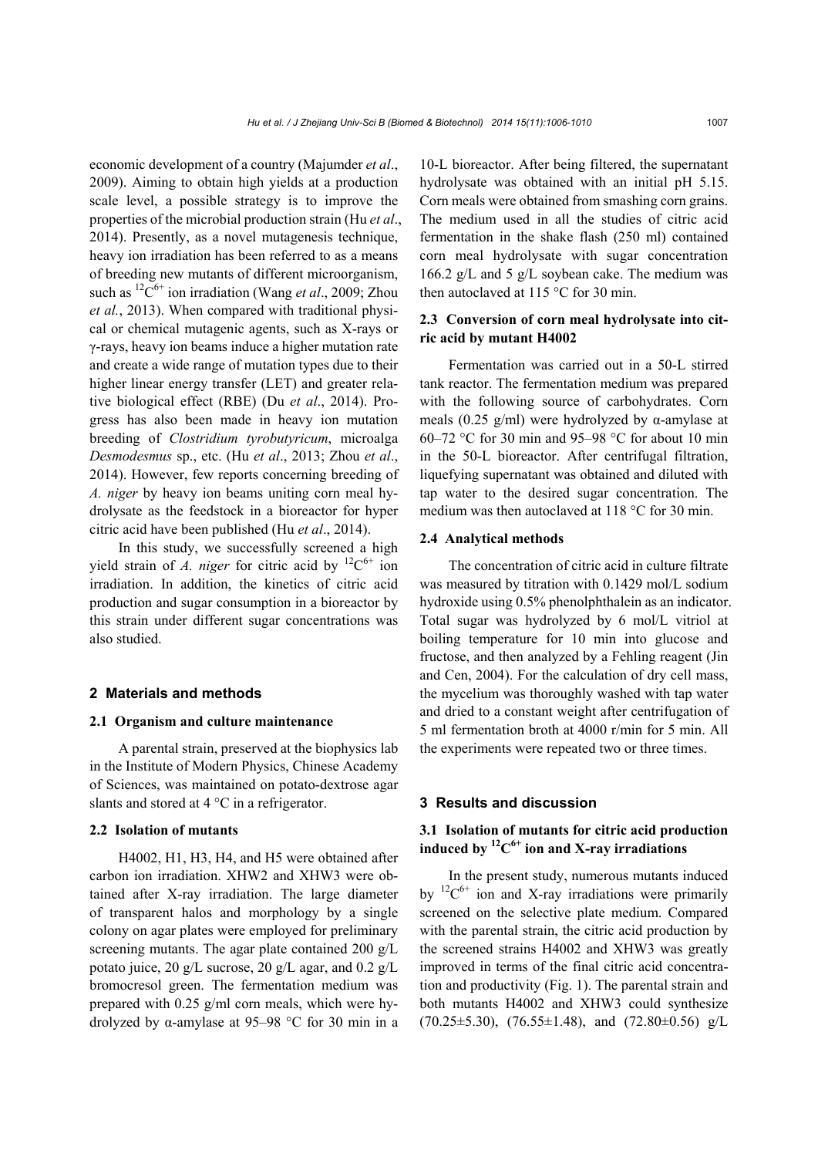economic development of a country (Majumder *et al*., 2009). Aiming to obtain high yields at a production scale level, a possible strategy is to improve the properties of the microbial production strain (Hu *et al*., 2014). Presently, as a novel mutagenesis technique, heavy ion irradiation has been referred to as a means of breeding new mutants of different microorganism, such as <sup>12</sup>C<sup>6+</sup> ion irradiation (Wang *et al.*, 2009; Zhou *et al.*, 2013). When compared with traditional physical or chemical mutagenic agents, such as X-rays or γ-rays, heavy ion beams induce a higher mutation rate and create a wide range of mutation types due to their higher linear energy transfer (LET) and greater relative biological effect (RBE) (Du *et al*., 2014). Progress has also been made in heavy ion mutation breeding of *Clostridium tyrobutyricum*, microalga *Desmodesmus* sp., etc. (Hu *et al*., 2013; Zhou *et al*., 2014). However, few reports concerning breeding of *A. niger* by heavy ion beams uniting corn meal hydrolysate as the feedstock in a bioreactor for hyper citric acid have been published (Hu *et al*., 2014).

In this study, we successfully screened a high yield strain of *A. niger* for citric acid by  ${}^{12}C^{6+}$  ion irradiation. In addition, the kinetics of citric acid production and sugar consumption in a bioreactor by this strain under different sugar concentrations was also studied.

#### **2 Materials and methods**

#### **2.1 Organism and culture maintenance**

A parental strain, preserved at the biophysics lab in the Institute of Modern Physics, Chinese Academy of Sciences, was maintained on potato-dextrose agar slants and stored at 4 °C in a refrigerator.

#### **2.2 Isolation of mutants**

H4002, H1, H3, H4, and H5 were obtained after carbon ion irradiation. XHW2 and XHW3 were obtained after X-ray irradiation. The large diameter of transparent halos and morphology by a single colony on agar plates were employed for preliminary screening mutants. The agar plate contained 200 g/L potato juice, 20 g/L sucrose, 20 g/L agar, and 0.2 g/L bromocresol green. The fermentation medium was prepared with 0.25 g/ml corn meals, which were hydrolyzed by α-amylase at 95–98 °C for 30 min in a 10-L bioreactor. After being filtered, the supernatant hydrolysate was obtained with an initial pH 5.15. Corn meals were obtained from smashing corn grains. The medium used in all the studies of citric acid fermentation in the shake flash (250 ml) contained corn meal hydrolysate with sugar concentration 166.2 g/L and 5 g/L soybean cake. The medium was then autoclaved at 115 °C for 30 min.

## **2.3 Conversion of corn meal hydrolysate into citric acid by mutant H4002**

Fermentation was carried out in a 50-L stirred tank reactor. The fermentation medium was prepared with the following source of carbohydrates. Corn meals (0.25 g/ml) were hydrolyzed by  $\alpha$ -amylase at 60–72 °C for 30 min and 95–98 °C for about 10 min in the 50-L bioreactor. After centrifugal filtration, liquefying supernatant was obtained and diluted with tap water to the desired sugar concentration. The medium was then autoclaved at 118 °C for 30 min.

#### **2.4 Analytical methods**

The concentration of citric acid in culture filtrate was measured by titration with 0.1429 mol/L sodium hydroxide using 0.5% phenolphthalein as an indicator. Total sugar was hydrolyzed by 6 mol/L vitriol at boiling temperature for 10 min into glucose and fructose, and then analyzed by a Fehling reagent (Jin and Cen, 2004). For the calculation of dry cell mass, the mycelium was thoroughly washed with tap water and dried to a constant weight after centrifugation of 5 ml fermentation broth at 4000 r/min for 5 min. All the experiments were repeated two or three times.

## **3 Results and discussion**

## **3.1 Isolation of mutants for citric acid production induced by**  ${}^{12}C^{6+}$  **ion and X-ray irradiations**

In the present study, numerous mutants induced by  ${}^{12}C^{6+}$  ion and X-ray irradiations were primarily screened on the selective plate medium. Compared with the parental strain, the citric acid production by the screened strains H4002 and XHW3 was greatly improved in terms of the final citric acid concentration and productivity (Fig. 1). The parental strain and both mutants H4002 and XHW3 could synthesize  $(70.25\pm5.30)$ ,  $(76.55\pm1.48)$ , and  $(72.80\pm0.56)$  g/L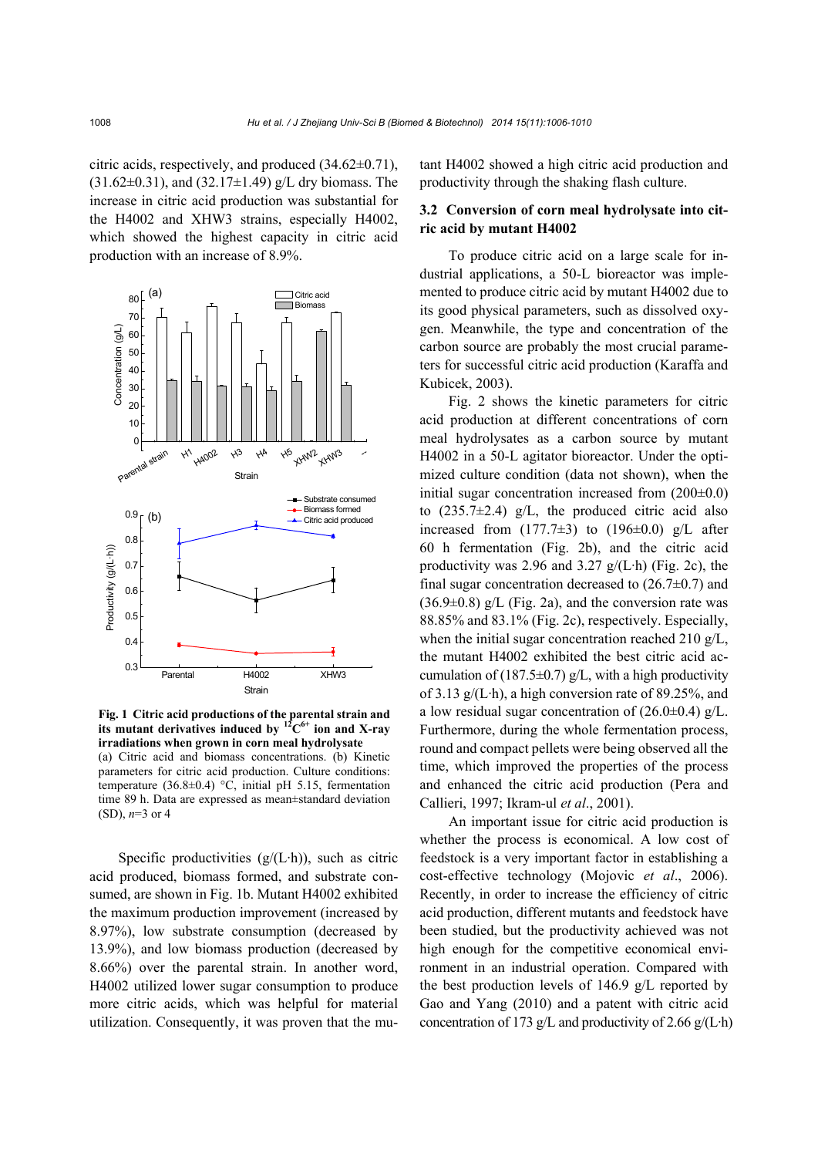citric acids, respectively, and produced (34.62±0.71),  $(31.62\pm0.31)$ , and  $(32.17\pm1.49)$  g/L dry biomass. The increase in citric acid production was substantial for the H4002 and XHW3 strains, especially H4002, which showed the highest capacity in citric acid production with an increase of 8.9%.



**Fig. 1 Citric acid productions of the parental strain and**  its mutant derivatives induced by  ${}^{12}C^{6+}$  ion and X-ray **irradiations when grown in corn meal hydrolysate**  (a) Citric acid and biomass concentrations. (b) Kinetic parameters for citric acid production. Culture conditions: temperature (36.8 $\pm$ 0.4) °C, initial pH 5.15, fermentation time 89 h. Data are expressed as mean±standard deviation (SD), *n*=3 or 4

Specific productivities  $(g/(L \cdot h))$ , such as citric acid produced, biomass formed, and substrate consumed, are shown in Fig. 1b. Mutant H4002 exhibited the maximum production improvement (increased by 8.97%), low substrate consumption (decreased by 13.9%), and low biomass production (decreased by 8.66%) over the parental strain. In another word, H4002 utilized lower sugar consumption to produce more citric acids, which was helpful for material utilization. Consequently, it was proven that the mutant H4002 showed a high citric acid production and productivity through the shaking flash culture.

## **3.2 Conversion of corn meal hydrolysate into citric acid by mutant H4002**

To produce citric acid on a large scale for industrial applications, a 50-L bioreactor was implemented to produce citric acid by mutant H4002 due to its good physical parameters, such as dissolved oxygen. Meanwhile, the type and concentration of the carbon source are probably the most crucial parameters for successful citric acid production (Karaffa and Kubicek, 2003).

Fig. 2 shows the kinetic parameters for citric acid production at different concentrations of corn meal hydrolysates as a carbon source by mutant H4002 in a 50-L agitator bioreactor. Under the optimized culture condition (data not shown), when the initial sugar concentration increased from  $(200\pm0.0)$ to  $(235.7\pm2.4)$  g/L, the produced citric acid also increased from  $(177.7\pm3)$  to  $(196\pm0.0)$  g/L after 60 h fermentation (Fig. 2b), and the citric acid productivity was 2.96 and 3.27  $g/(L \cdot h)$  (Fig. 2c), the final sugar concentration decreased to  $(26.7\pm0.7)$  and  $(36.9\pm0.8)$  g/L (Fig. 2a), and the conversion rate was 88.85% and 83.1% (Fig. 2c), respectively. Especially, when the initial sugar concentration reached 210 g/L, the mutant H4002 exhibited the best citric acid accumulation of (187.5 $\pm$ 0.7) g/L, with a high productivity of 3.13  $g/(L \cdot h)$ , a high conversion rate of 89.25%, and a low residual sugar concentration of  $(26.0\pm0.4)$  g/L. Furthermore, during the whole fermentation process, round and compact pellets were being observed all the time, which improved the properties of the process and enhanced the citric acid production (Pera and Callieri, 1997; Ikram-ul *et al*., 2001).

An important issue for citric acid production is whether the process is economical. A low cost of feedstock is a very important factor in establishing a cost-effective technology (Mojovic *et al*., 2006). Recently, in order to increase the efficiency of citric acid production, different mutants and feedstock have been studied, but the productivity achieved was not high enough for the competitive economical environment in an industrial operation. Compared with the best production levels of 146.9 g/L reported by Gao and Yang (2010) and a patent with citric acid concentration of 173 g/L and productivity of 2.66 g/(L·h)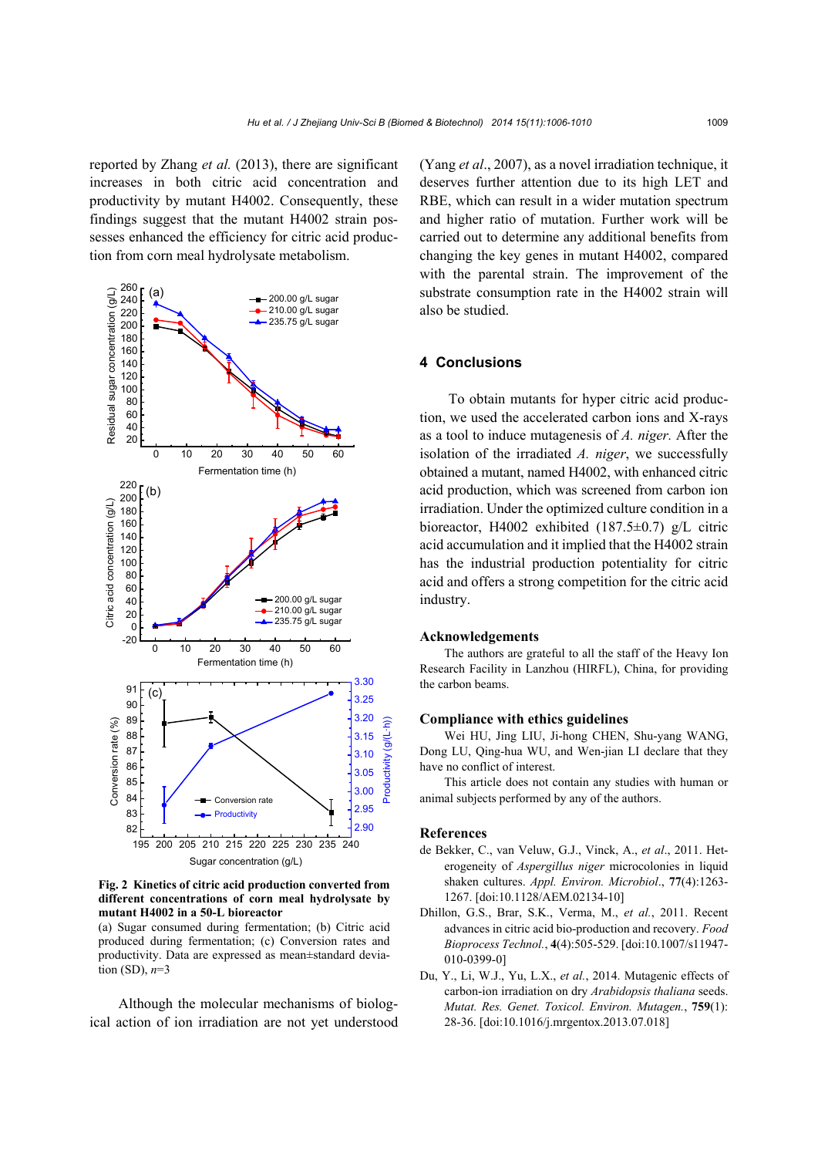reported by Zhang *et al.* (2013), there are significant increases in both citric acid concentration and productivity by mutant H4002. Consequently, these findings suggest that the mutant H4002 strain possesses enhanced the efficiency for citric acid production from corn meal hydrolysate metabolism.



**Fig. 2 Kinetics of citric acid production converted from different concentrations of corn meal hydrolysate by mutant H4002 in a 50-L bioreactor** 

(a) Sugar consumed during fermentation; (b) Citric acid produced during fermentation; (c) Conversion rates and productivity. Data are expressed as mean±standard deviation (SD), *n*=3

Although the molecular mechanisms of biological action of ion irradiation are not yet understood (Yang *et al*., 2007), as a novel irradiation technique, it deserves further attention due to its high LET and RBE, which can result in a wider mutation spectrum and higher ratio of mutation. Further work will be carried out to determine any additional benefits from changing the key genes in mutant H4002, compared with the parental strain. The improvement of the substrate consumption rate in the H4002 strain will also be studied.

### **4 Conclusions**

To obtain mutants for hyper citric acid production, we used the accelerated carbon ions and X-rays as a tool to induce mutagenesis of *A. niger.* After the isolation of the irradiated *A. niger*, we successfully obtained a mutant, named H4002, with enhanced citric acid production, which was screened from carbon ion irradiation. Under the optimized culture condition in a bioreactor, H4002 exhibited (187.5±0.7) g/L citric acid accumulation and it implied that the H4002 strain has the industrial production potentiality for citric acid and offers a strong competition for the citric acid industry.

#### **Acknowledgements**

The authors are grateful to all the staff of the Heavy Ion Research Facility in Lanzhou (HIRFL), China, for providing the carbon beams.

## **Compliance with ethics guidelines**

Wei HU, Jing LIU, Ji-hong CHEN, Shu-yang WANG, Dong LU, Qing-hua WU, and Wen-jian LI declare that they have no conflict of interest.

This article does not contain any studies with human or animal subjects performed by any of the authors.

#### **References**

- de Bekker, C., van Veluw, G.J., Vinck, A., *et al*., 2011. Heterogeneity of *Aspergillus niger* microcolonies in liquid shaken cultures. *Appl. Environ. Microbiol*., **77**(4):1263- 1267. [doi:10.1128/AEM.02134-10]
- Dhillon, G.S., Brar, S.K., Verma, M., *et al.*, 2011. Recent advances in citric acid bio-production and recovery. *Food Bioprocess Technol.*, **4**(4):505-529. [doi:10.1007/s11947- 010-0399-0]
- Du, Y., Li, W.J., Yu, L.X., *et al.*, 2014. Mutagenic effects of carbon-ion irradiation on dry *Arabidopsis thaliana* seeds. *Mutat. Res. Genet. Toxicol. Environ. Mutagen.*, **759**(1): 28-36. [doi:10.1016/j.mrgentox.2013.07.018]